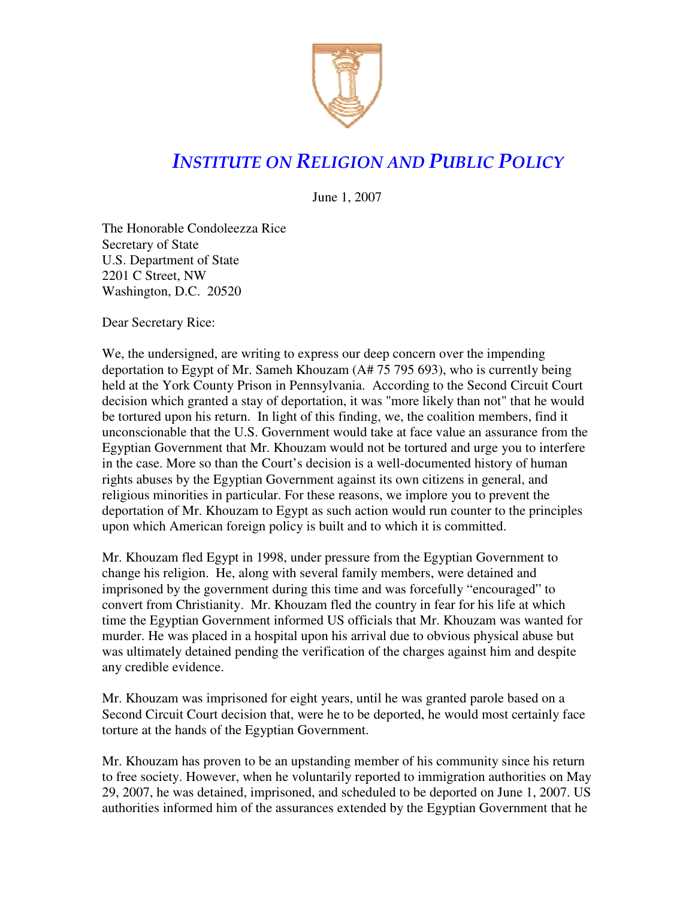

## INSTITUTE ON RELIGION AND PUBLIC POLICY

June 1, 2007

The Honorable Condoleezza Rice Secretary of State U.S. Department of State 2201 C Street, NW Washington, D.C. 20520

Dear Secretary Rice:

We, the undersigned, are writing to express our deep concern over the impending deportation to Egypt of Mr. Sameh Khouzam (A# 75 795 693), who is currently being held at the York County Prison in Pennsylvania. According to the Second Circuit Court decision which granted a stay of deportation, it was "more likely than not" that he would be tortured upon his return. In light of this finding, we, the coalition members, find it unconscionable that the U.S. Government would take at face value an assurance from the Egyptian Government that Mr. Khouzam would not be tortured and urge you to interfere in the case. More so than the Court's decision is a well-documented history of human rights abuses by the Egyptian Government against its own citizens in general, and religious minorities in particular. For these reasons, we implore you to prevent the deportation of Mr. Khouzam to Egypt as such action would run counter to the principles upon which American foreign policy is built and to which it is committed.

Mr. Khouzam fled Egypt in 1998, under pressure from the Egyptian Government to change his religion. He, along with several family members, were detained and imprisoned by the government during this time and was forcefully "encouraged" to convert from Christianity. Mr. Khouzam fled the country in fear for his life at which time the Egyptian Government informed US officials that Mr. Khouzam was wanted for murder. He was placed in a hospital upon his arrival due to obvious physical abuse but was ultimately detained pending the verification of the charges against him and despite any credible evidence.

Mr. Khouzam was imprisoned for eight years, until he was granted parole based on a Second Circuit Court decision that, were he to be deported, he would most certainly face torture at the hands of the Egyptian Government.

Mr. Khouzam has proven to be an upstanding member of his community since his return to free society. However, when he voluntarily reported to immigration authorities on May 29, 2007, he was detained, imprisoned, and scheduled to be deported on June 1, 2007. US authorities informed him of the assurances extended by the Egyptian Government that he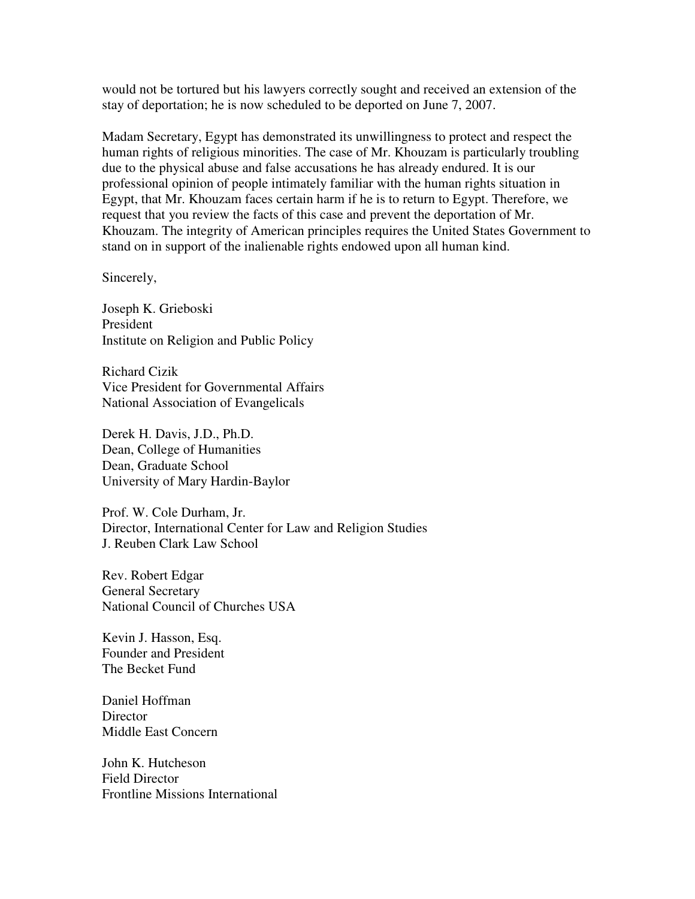would not be tortured but his lawyers correctly sought and received an extension of the stay of deportation; he is now scheduled to be deported on June 7, 2007.

Madam Secretary, Egypt has demonstrated its unwillingness to protect and respect the human rights of religious minorities. The case of Mr. Khouzam is particularly troubling due to the physical abuse and false accusations he has already endured. It is our professional opinion of people intimately familiar with the human rights situation in Egypt, that Mr. Khouzam faces certain harm if he is to return to Egypt. Therefore, we request that you review the facts of this case and prevent the deportation of Mr. Khouzam. The integrity of American principles requires the United States Government to stand on in support of the inalienable rights endowed upon all human kind.

Sincerely,

Joseph K. Grieboski President Institute on Religion and Public Policy

Richard Cizik Vice President for Governmental Affairs National Association of Evangelicals

Derek H. Davis, J.D., Ph.D. Dean, College of Humanities Dean, Graduate School University of Mary Hardin-Baylor

Prof. W. Cole Durham, Jr. Director, International Center for Law and Religion Studies J. Reuben Clark Law School

Rev. Robert Edgar General Secretary National Council of Churches USA

Kevin J. Hasson, Esq. Founder and President The Becket Fund

Daniel Hoffman **Director** Middle East Concern

John K. Hutcheson Field Director Frontline Missions International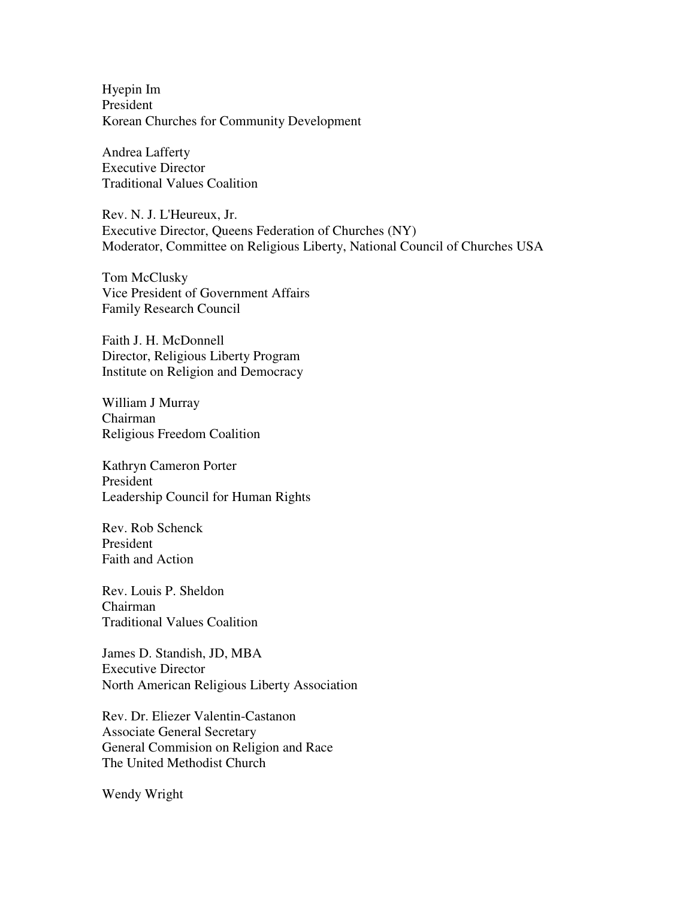Hyepin Im President Korean Churches for Community Development

Andrea Lafferty Executive Director Traditional Values Coalition

Rev. N. J. L'Heureux, Jr. Executive Director, Queens Federation of Churches (NY) Moderator, Committee on Religious Liberty, National Council of Churches USA

Tom McClusky Vice President of Government Affairs Family Research Council

Faith J. H. McDonnell Director, Religious Liberty Program Institute on Religion and Democracy

William J Murray Chairman Religious Freedom Coalition

Kathryn Cameron Porter President Leadership Council for Human Rights

Rev. Rob Schenck President Faith and Action

Rev. Louis P. Sheldon Chairman Traditional Values Coalition

James D. Standish, JD, MBA Executive Director North American Religious Liberty Association

Rev. Dr. Eliezer Valentin-Castanon Associate General Secretary General Commision on Religion and Race The United Methodist Church

Wendy Wright